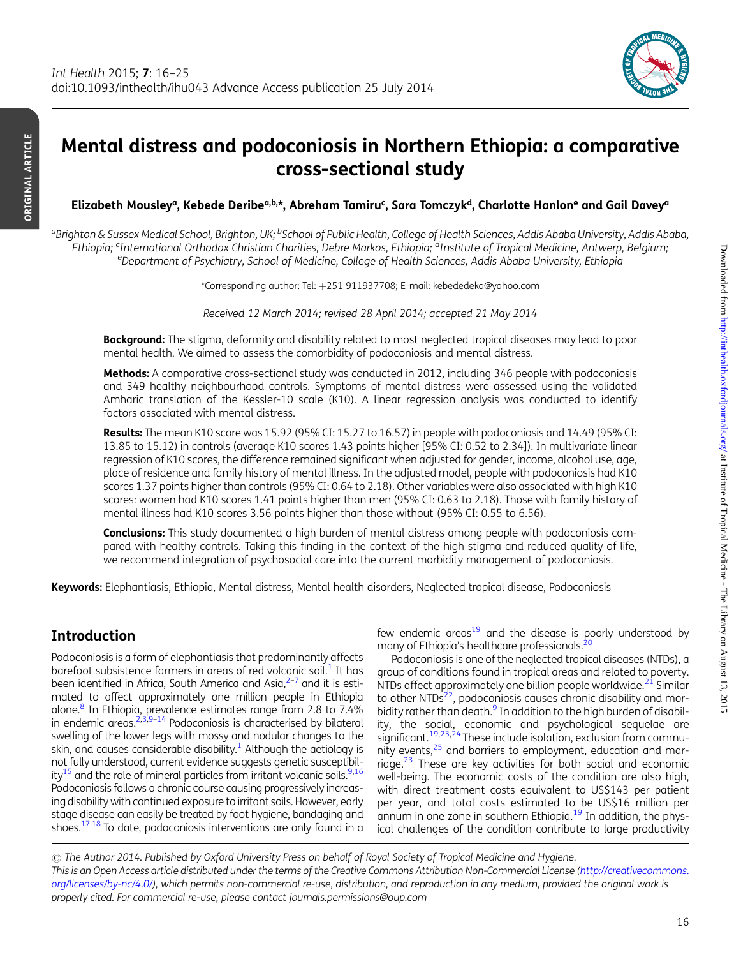

# Mental distress and podoconiosis in Northern Ethiopia: a comparative cross-sectional study

#### Elizabeth Mousley<sup>a</sup>, Kebede Deribe<sup>a,b,\*</sup>, Abreham Tamiru<sup>c</sup>, Sara Tomczyk<sup>d</sup>, Charlotte Hanlon<sup>e</sup> and Gail Davey<sup>a</sup>

<sup>a</sup>Brighton & Sussex Medical School, Brighton, UK; <sup>b</sup>School of Public Health, College of Health Sciences, Addis Ababa University, Addis Ababa, Ethiopia; <sup>c</sup>International Orthodox Christian Charities, Debre Markos, Ethiopia; <sup>a</sup>Institute of Tropical Medicine, Antwerp, Belgium;<br>Penartment of Psychiatry, School of Medicine, College of Health Sciences, Addis Ababa Un eDepartment of Psychiatry, School of Medicine, College of Health Sciences, Addis Ababa University, Ethiopia

\*Corresponding author: Tel: +251 911937708; E-mail: kebededeka@yahoo.com

Received 12 March 2014; revised 28 April 2014; accepted 21 May 2014

**Background:** The stigma, deformity and disability related to most neglected tropical diseases may lead to poor mental health. We aimed to assess the comorbidity of podoconiosis and mental distress.

Methods: A comparative cross-sectional study was conducted in 2012, including 346 people with podoconiosis and 349 healthy neighbourhood controls. Symptoms of mental distress were assessed using the validated Amharic translation of the Kessler-10 scale (K10). A linear regression analysis was conducted to identify factors associated with mental distress.

Results: The mean K10 score was 15.92 (95% CI: 15.27 to 16.57) in people with podoconiosis and 14.49 (95% CI: 13.85 to 15.12) in controls (average K10 scores 1.43 points higher [95% CI: 0.52 to 2.34]). In multivariate linear regression of K10 scores, the difference remained significant when adjusted for gender, income, alcohol use, age, place of residence and family history of mental illness. In the adjusted model, people with podoconiosis had K10 scores 1.37 points higher than controls (95% CI: 0.64 to 2.18). Other variables were also associated with high K10 scores: women had K10 scores 1.41 points higher than men (95% CI: 0.63 to 2.18). Those with family history of mental illness had K10 scores 3.56 points higher than those without (95% CI: 0.55 to 6.56).

**Conclusions:** This study documented a high burden of mental distress among people with podoconiosis compared with healthy controls. Taking this finding in the context of the high stigma and reduced quality of life, we recommend integration of psychosocial care into the current morbidity management of podoconiosis.

Keywords: Elephantiasis, Ethiopia, Mental distress, Mental health disorders, Neglected tropical disease, Podoconiosis

## Introduction

Podoconiosis is a form of elephantiasis that predominantly affects barefoot subsistence farmers in areas of red volcanic soil. $<sup>1</sup>$  $<sup>1</sup>$  $<sup>1</sup>$  It has</sup> been identified in Africa, South America and Asia, $2^{-7}$  and it is estimated to affect approximately one million people in Ethiopia alone[.8](#page-8-0) In Ethiopia, prevalence estimates range from 2.8 to 7.4% in endemic areas.  $2,3,9-14$  $2,3,9-14$  $2,3,9-14$  Podoconiosis is characterised by bilateral swelling of the lower legs with mossy and nodular changes to the skin, and causes considerable disability.<sup>1</sup> Although the aetiology is not fully understood, current evidence suggests genetic susceptibility $^{15}$  and the role of mineral particles from irritant volcanic soils.  $^{9,16}$  $^{9,16}$  $^{9,16}$  $^{9,16}$  $^{9,16}$ Podoconiosis follows a chronic course causing progressively increasing disability with continued exposure to irritant soils. However, early stage disease can easily be treated by foot hygiene, bandaging and shoes. $17,18$  $17,18$  To date, podoconiosis interventions are only found in a few endemic areas $19$  and the disease is poorly understood by many of Ethiopia's healthcare professionals.<sup>2</sup>

Podoconiosis is one of the neglected tropical diseases (NTDs), a group of conditions found in tropical areas and related to poverty. NTDs affect approximately one billion people worldwide.<sup>[21](#page-8-0)</sup> Similar to other NTDs $^{22}$ , podoconiosis causes chronic disability and morbidity rather than death.<sup>9</sup> In addition to the high burden of disability, the social, economic and psychological sequelae are significant.<sup>[19,23,24](#page-8-0)</sup> These include isolation, exclusion from commu-nity events,<sup>[25](#page-8-0)</sup> and barriers to employment, education and marriage. $^{23}$  $^{23}$  $^{23}$  These are key activities for both social and economic well-being. The economic costs of the condition are also high, with direct treatment costs equivalent to US\$143 per patient per year, and total costs estimated to be US\$16 million per annum in one zone in southern Ethiopia.<sup>[19](#page-8-0)</sup> In addition, the physical challenges of the condition contribute to large productivity

 $\odot$  The Author 2014. Published by Oxford University Press on behalf of Royal Society of Tropical Medicine and Hygiene. This is an Open Access article distributed under the terms of the Creative Commons Attribution Non-Commercial License ([htt](http://creativecommons.org/licenses/by-nc/3.0/)[p://creativecommons.](http://creativecommons.org/licenses/by-nc/4.0/) org/licenses/by-nc/4.0/), which permits non-commercial re-use, distribution, and reproduction in any medium, provided the original work is properly cited. For commercial re-use, please contact journals.permissions@oup.com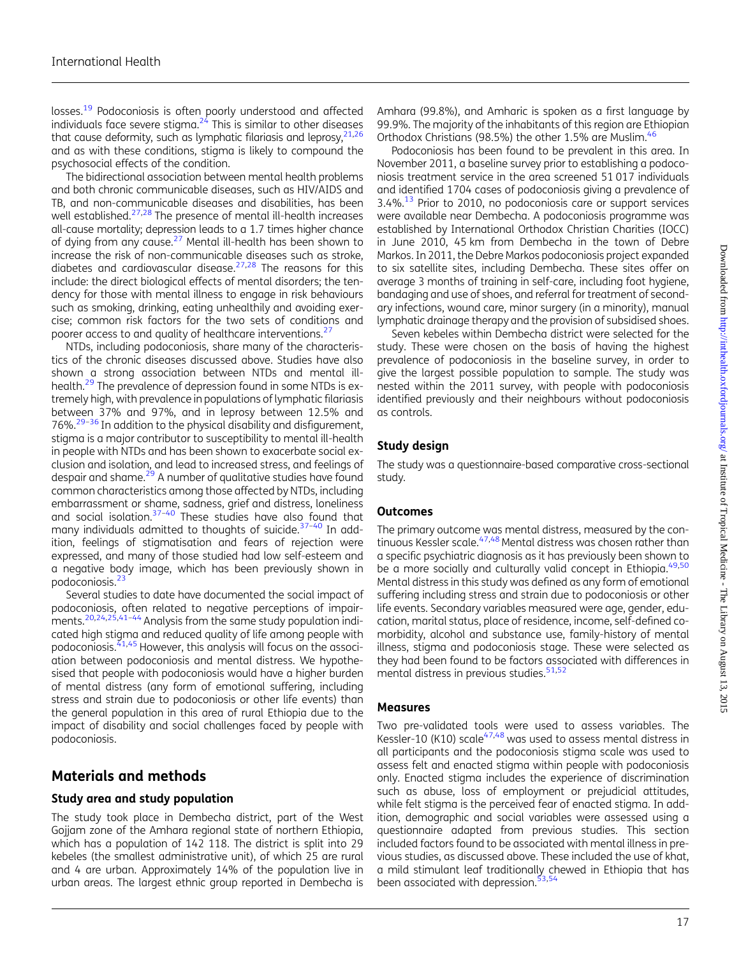losses.<sup>[19](#page-8-0)</sup> Podoconiosis is often poorly understood and affected individuals face severe stigma. $24$  This is similar to other diseases that cause deformity, such as lymphatic filariasis and leprosy,  $21,26$  $21,26$ and as with these conditions, stigma is likely to compound the psychosocial effects of the condition.

The bidirectional association between mental health problems and both chronic communicable diseases, such as HIV/AIDS and TB, and non-communicable diseases and disabilities, has been well established.<sup>[27,28](#page-8-0)</sup> The presence of mental ill-health increases all-cause mortality; depression leads to a 1.7 times higher chance of dying from any cause.<sup>[27](#page-8-0)</sup> Mental ill-health has been shown to increase the risk of non-communicable diseases such as stroke, diabetes and cardiovascular disease. $27,28$  The reasons for this include: the direct biological effects of mental disorders; the tendency for those with mental illness to engage in risk behaviours such as smoking, drinking, eating unhealthily and avoiding exercise; common risk factors for the two sets of conditions and poorer access to and quality of healthcare interventions.<sup>[27](#page-8-0)</sup>

NTDs, including podoconiosis, share many of the characteristics of the chronic diseases discussed above. Studies have also shown a strong association between NTDs and mental ill-health.<sup>[29](#page-8-0)</sup> The prevalence of depression found in some NTDs is extremely high, with prevalence in populations of lymphatic filariasis between 37% and 97%, and in leprosy between 12.5% and  $76\%$ <sup>[29–](#page-8-0)[36](#page-9-0)</sup> In addition to the physical disability and disfigurement, stigma is a major contributor to susceptibility to mental ill-health in people with NTDs and has been shown to exacerbate social exclusion and isolation, and lead to increased stress, and feelings of despair and shame.<sup>29</sup> A number of qualitative studies have found common characteristics among those affected by NTDs, including embarrassment or shame, sadness, grief and distress, loneliness and social isolation.[37–40](#page-9-0) These studies have also found that many individuals admitted to thoughts of suicide.<sup>37-40</sup> In addition, feelings of stigmatisation and fears of rejection were expressed, and many of those studied had low self-esteem and a negative body image, which has been previously shown in podoconiosis.<sup>[23](#page-8-0)</sup>

Several studies to date have documented the social impact of podoconiosis, often related to negative perceptions of impair-ments.<sup>20,24,[25,](#page-8-0)41-44</sup> Analysis from the same study population indicated high stigma and reduced quality of life among people with podoconiosis.[41](#page-9-0),[45](#page-9-0) However, this analysis will focus on the association between podoconiosis and mental distress. We hypothesised that people with podoconiosis would have a higher burden of mental distress (any form of emotional suffering, including stress and strain due to podoconiosis or other life events) than the general population in this area of rural Ethiopia due to the impact of disability and social challenges faced by people with podoconiosis.

# Materials and methods

#### Study area and study population

The study took place in Dembecha district, part of the West Gojjam zone of the Amhara regional state of northern Ethiopia, which has a population of 142 118. The district is split into 29 kebeles (the smallest administrative unit), of which 25 are rural and 4 are urban. Approximately 14% of the population live in urban areas. The largest ethnic group reported in Dembecha is Amhara (99.8%), and Amharic is spoken as a first language by 99.9%. The majority of the inhabitants of this region are Ethiopian Orthodox Christians (98.5%) the other 1.5% are Muslim. $46$ 

Podoconiosis has been found to be prevalent in this area. In November 2011, a baseline survey prior to establishing a podoconiosis treatment service in the area screened 51 017 individuals and identified 1704 cases of podoconiosis giving a prevalence of 3.4%.<sup>[13](#page-8-0)</sup> Prior to 2010, no podoconiosis care or support services were available near Dembecha. A podoconiosis programme was established by International Orthodox Christian Charities (IOCC) in June 2010, 45 km from Dembecha in the town of Debre Markos. In 2011, the Debre Markos podoconiosis project expanded to six satellite sites, including Dembecha. These sites offer on average 3 months of training in self-care, including foot hygiene, bandaging and use of shoes, and referral for treatment of secondary infections, wound care, minor surgery (in a minority), manual lymphatic drainage therapy and the provision of subsidised shoes.

Seven kebeles within Dembecha district were selected for the study. These were chosen on the basis of having the highest prevalence of podoconiosis in the baseline survey, in order to give the largest possible population to sample. The study was nested within the 2011 survey, with people with podoconiosis identified previously and their neighbours without podoconiosis as controls.

## Study design

The study was a questionnaire-based comparative cross-sectional study.

## **Outcomes**

The primary outcome was mental distress, measured by the con-tinuous Kessler scale.<sup>[47,48](#page-9-0)</sup> Mental distress was chosen rather than a specific psychiatric diagnosis as it has previously been shown to be a more socially and culturally valid concept in Ethiopia.<sup>[49](#page-9-0),[50](#page-9-0)</sup> Mental distress in this study was defined as any form of emotional suffering including stress and strain due to podoconiosis or other life events. Secondary variables measured were age, gender, education, marital status, place of residence, income, self-defined comorbidity, alcohol and substance use, family-history of mental illness, stigma and podoconiosis stage. These were selected as they had been found to be factors associated with differences in mental distress in previous studies. $51,52$  $51,52$  $51,52$ 

## **Measures**

Two pre-validated tools were used to assess variables. The Kessler-10 (K10) scale<sup>[47,48](#page-9-0)</sup> was used to assess mental distress in all participants and the podoconiosis stigma scale was used to assess felt and enacted stigma within people with podoconiosis only. Enacted stigma includes the experience of discrimination such as abuse, loss of employment or prejudicial attitudes, while felt stigma is the perceived fear of enacted stigma. In addition, demographic and social variables were assessed using a questionnaire adapted from previous studies. This section included factors found to be associated with mental illness in previous studies, as discussed above. These included the use of khat, a mild stimulant leaf traditionally chewed in Ethiopia that has been associated with depression.<sup>[53,54](#page-9-0)</sup>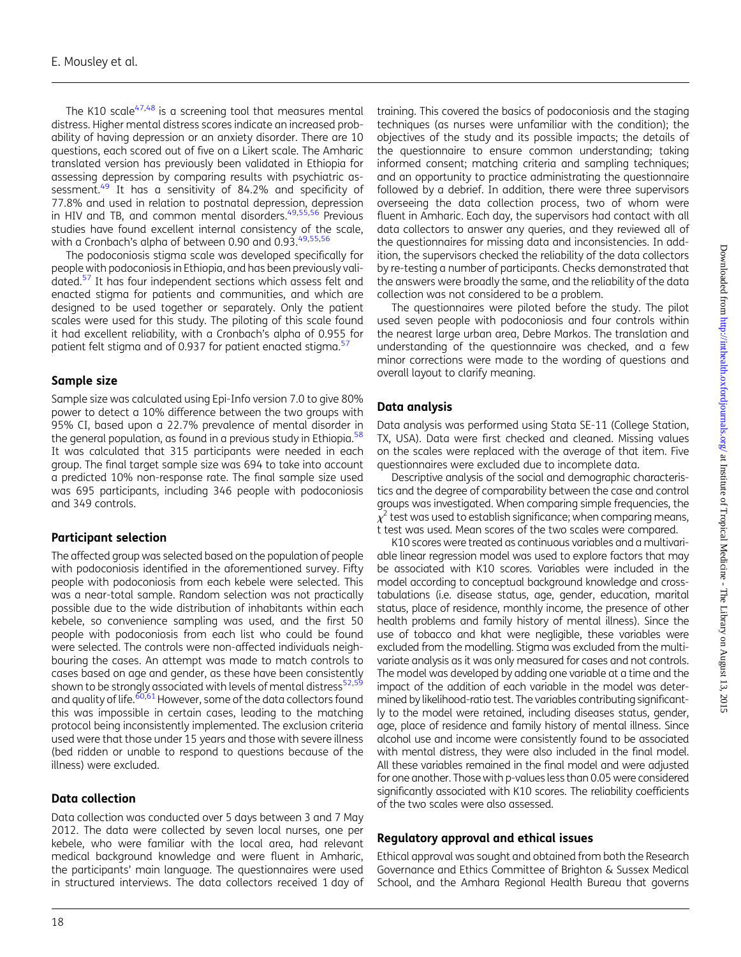The K10 scale $47,48$  $47,48$  $47,48$  is a screening tool that measures mental distress. Higher mental distress scores indicate an increased probability of having depression or an anxiety disorder. There are 10 questions, each scored out of five on a Likert scale. The Amharic translated version has previously been validated in Ethiopia for assessing depression by comparing results with psychiatric as-sessment.<sup>[49](#page-9-0)</sup> It has a sensitivity of 84.2% and specificity of 77.8% and used in relation to postnatal depression, depression in HIV and TB, and common mental disorders.<sup>[49](#page-9-0),[55,56](#page-9-0)</sup> Previous studies have found excellent internal consistency of the scale, with a Cronbach's alpha of between 0.90 and  $0.93.^{49,55,56}$  $0.93.^{49,55,56}$  $0.93.^{49,55,56}$  $0.93.^{49,55,56}$  $0.93.^{49,55,56}$ 

The podoconiosis stigma scale was developed specifically for people with podoconiosis in Ethiopia, and has been previously vali-dated.<sup>[57](#page-9-0)</sup> It has four independent sections which assess felt and enacted stigma for patients and communities, and which are designed to be used together or separately. Only the patient scales were used for this study. The piloting of this scale found it had excellent reliability, with a Cronbach's alpha of 0.955 for patient felt stigma and of 0.937 for patient enacted stigma.<sup>[57](#page-9-0)</sup>

#### Sample size

Sample size was calculated using Epi-Info version 7.0 to give 80% power to detect a 10% difference between the two groups with 95% CI, based upon a 22.7% prevalence of mental disorder in the general population, as found in a previous study in Ethiopia. $58$ It was calculated that 315 participants were needed in each group. The final target sample size was 694 to take into account a predicted 10% non-response rate. The final sample size used was 695 participants, including 346 people with podoconiosis and 349 controls.

## Participant selection

The affected group was selected based on the population of people with podoconiosis identified in the aforementioned survey. Fifty people with podoconiosis from each kebele were selected. This was a near-total sample. Random selection was not practically possible due to the wide distribution of inhabitants within each kebele, so convenience sampling was used, and the first 50 people with podoconiosis from each list who could be found were selected. The controls were non-affected individuals neighbouring the cases. An attempt was made to match controls to cases based on age and gender, as these have been consistently shown to be strongly associated with levels of mental distress<sup>52,[59](#page-9-0)</sup> and quality of life.<sup>[60,61](#page-9-0)</sup> However, some of the data collectors found this was impossible in certain cases, leading to the matching protocol being inconsistently implemented. The exclusion criteria used were that those under 15 years and those with severe illness (bed ridden or unable to respond to questions because of the illness) were excluded.

## Data collection

Data collection was conducted over 5 days between 3 and 7 May 2012. The data were collected by seven local nurses, one per kebele, who were familiar with the local area, had relevant medical background knowledge and were fluent in Amharic, the participants' main language. The questionnaires were used in structured interviews. The data collectors received 1 day of

training. This covered the basics of podoconiosis and the staging techniques (as nurses were unfamiliar with the condition); the objectives of the study and its possible impacts; the details of the questionnaire to ensure common understanding; taking informed consent; matching criteria and sampling techniques; and an opportunity to practice administrating the questionnaire followed by a debrief. In addition, there were three supervisors overseeing the data collection process, two of whom were fluent in Amharic. Each day, the supervisors had contact with all data collectors to answer any queries, and they reviewed all of the questionnaires for missing data and inconsistencies. In addition, the supervisors checked the reliability of the data collectors by re-testing a number of participants. Checks demonstrated that the answers were broadly the same, and the reliability of the data collection was not considered to be a problem.

The questionnaires were piloted before the study. The pilot used seven people with podoconiosis and four controls within the nearest large urban area, Debre Markos. The translation and understanding of the questionnaire was checked, and a few minor corrections were made to the wording of questions and overall layout to clarify meaning.

## Data analysis

Data analysis was performed using Stata SE-11 (College Station, TX, USA). Data were first checked and cleaned. Missing values on the scales were replaced with the average of that item. Five questionnaires were excluded due to incomplete data.

Descriptive analysis of the social and demographic characteristics and the degree of comparability between the case and control groups was investigated. When comparing simple frequencies, the  $\chi^2$  test was used to establish significance; when comparing means, t test was used. Mean scores of the two scales were compared.

K10 scores were treated as continuous variables and a multivariable linear regression model was used to explore factors that may be associated with K10 scores. Variables were included in the model according to conceptual background knowledge and crosstabulations (i.e. disease status, age, gender, education, marital status, place of residence, monthly income, the presence of other health problems and family history of mental illness). Since the use of tobacco and khat were negligible, these variables were excluded from the modelling. Stigma was excluded from the multivariate analysis as it was only measured for cases and not controls. The model was developed by adding one variable at a time and the impact of the addition of each variable in the model was determined by likelihood-ratio test. The variables contributing significantly to the model were retained, including diseases status, gender, age, place of residence and family history of mental illness. Since alcohol use and income were consistently found to be associated with mental distress, they were also included in the final model. All these variables remained in the final model and were adjusted for one another. Those with p-values less than 0.05 were considered significantly associated with K10 scores. The reliability coefficients of the two scales were also assessed.

## Regulatory approval and ethical issues

Ethical approval was sought and obtained from both the Research Governance and Ethics Committee of Brighton & Sussex Medical School, and the Amhara Regional Health Bureau that governs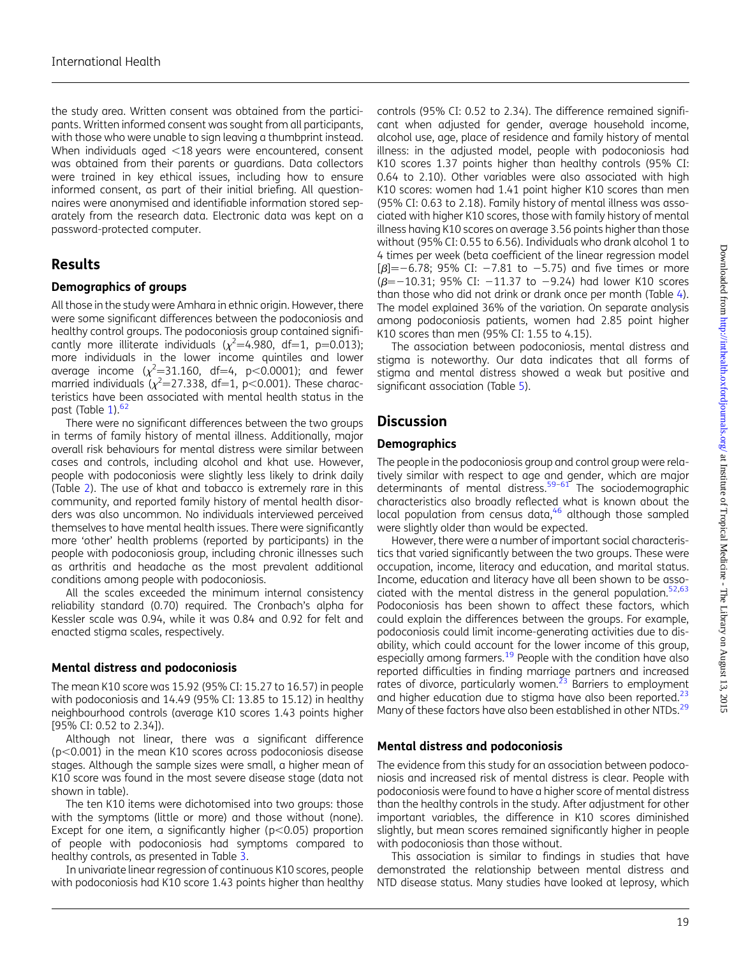the study area. Written consent was obtained from the participants. Written informed consent was sought from all participants, with those who were unable to sign leaving a thumbprint instead. When individuals aged  $<$ 18 years were encountered, consent was obtained from their parents or guardians. Data collectors were trained in key ethical issues, including how to ensure informed consent, as part of their initial briefing. All questionnaires were anonymised and identifiable information stored separately from the research data. Electronic data was kept on a password-protected computer.

# Results

#### Demographics of groups

All those in the study were Amhara in ethnic origin. However, there were some significant differences between the podoconiosis and healthy control groups. The podoconiosis group contained significantly more illiterate individuals ( $\chi^2$ =4.980, df=1, p=0.013); more individuals in the lower income quintiles and lower average income ( $\chi^2$ =31.160, df=4, p<0.0001); and fewer married individuals ( $\chi^2$ =27.338, df=1, p<0.001). These characteristics have been associated with mental health status in the past (Table  $1$ ).<sup>[62](#page-9-0)</sup>

There were no significant differences between the two groups in terms of family history of mental illness. Additionally, major overall risk behaviours for mental distress were similar between cases and controls, including alcohol and khat use. However, people with podoconiosis were slightly less likely to drink daily (Table [2\)](#page-5-0). The use of khat and tobacco is extremely rare in this community, and reported family history of mental health disorders was also uncommon. No individuals interviewed perceived themselves to have mental health issues. There were significantly more 'other' health problems (reported by participants) in the people with podoconiosis group, including chronic illnesses such as arthritis and headache as the most prevalent additional conditions among people with podoconiosis.

All the scales exceeded the minimum internal consistency reliability standard (0.70) required. The Cronbach's alpha for Kessler scale was 0.94, while it was 0.84 and 0.92 for felt and enacted stigma scales, respectively.

#### Mental distress and podoconiosis

The mean K10 score was 15.92 (95% CI: 15.27 to 16.57) in people with podoconiosis and 14.49 (95% CI: 13.85 to 15.12) in healthy neighbourhood controls (average K10 scores 1.43 points higher [95% CI: 0.52 to 2.34]).

Although not linear, there was a significant difference  $(p<0.001)$  in the mean K10 scores across podoconiosis disease stages. Although the sample sizes were small, a higher mean of K10 score was found in the most severe disease stage (data not shown in table).

The ten K10 items were dichotomised into two groups: those with the symptoms (little or more) and those without (none). Except for one item, a significantly higher ( $p$ <0.05) proportion of people with podoconiosis had symptoms compared to healthy controls, as presented in Table [3.](#page-6-0)

In univariate linear regression of continuous K10 scores, people with podoconiosis had K10 score 1.43 points higher than healthy

controls (95% CI: 0.52 to 2.34). The difference remained significant when adjusted for gender, average household income, alcohol use, age, place of residence and family history of mental illness: in the adjusted model, people with podoconiosis had K10 scores 1.37 points higher than healthy controls (95% CI: 0.64 to 2.10). Other variables were also associated with high K10 scores: women had 1.41 point higher K10 scores than men (95% CI: 0.63 to 2.18). Family history of mental illness was associated with higher K10 scores, those with family history of mental illness having K10 scores on average 3.56 points higher than those without (95% CI: 0.55 to 6.56). Individuals who drank alcohol 1 to 4 times per week (beta coefficient of the linear regression model  $[\beta] = -6.78$ ; 95% CI:  $-7.81$  to  $-5.75$ ) and five times or more ( $\beta$ =-10.31; 95% CI: -11.37 to -9.24) had lower K10 scores than those who did not drink or drank once per month (Table [4\)](#page-6-0). The model explained 36% of the variation. On separate analysis among podoconiosis patients, women had 2.85 point higher K10 scores than men (95% CI: 1.55 to 4.15).

The association between podoconiosis, mental distress and stigma is noteworthy. Our data indicates that all forms of stigma and mental distress showed a weak but positive and significant association (Table [5\)](#page-7-0).

# **Discussion**

#### **Demographics**

The people in the podoconiosis group and control group were relatively similar with respect to age and gender, which are major determinants of mental distress.<sup>59-61</sup> The sociodemographic characteristics also broadly reflected what is known about the local population from census data,<sup>[46](#page-9-0)</sup> although those sampled were slightly older than would be expected.

However, there were a number of important social characteristics that varied significantly between the two groups. These were occupation, income, literacy and education, and marital status. Income, education and literacy have all been shown to be associated with the mental distress in the general population. $52,63$ Podoconiosis has been shown to affect these factors, which could explain the differences between the groups. For example, podoconiosis could limit income-generating activities due to disability, which could account for the lower income of this group, especially among farmers.<sup>[19](#page-8-0)</sup> People with the condition have also reported difficulties in finding marriage partners and increased rates of divorce, particularly women.<sup>[23](#page-8-0)</sup> Barriers to employment and higher education due to stigma have also been reported. $^{23}$  $^{23}$  $^{23}$ Many of these factors have also been established in other NTDs.<sup>29</sup>

## Mental distress and podoconiosis

The evidence from this study for an association between podoconiosis and increased risk of mental distress is clear. People with podoconiosis were found to have a higher score of mental distress than the healthy controls in the study. After adjustment for other important variables, the difference in K10 scores diminished slightly, but mean scores remained significantly higher in people with podoconiosis than those without.

This association is similar to findings in studies that have demonstrated the relationship between mental distress and NTD disease status. Many studies have looked at leprosy, which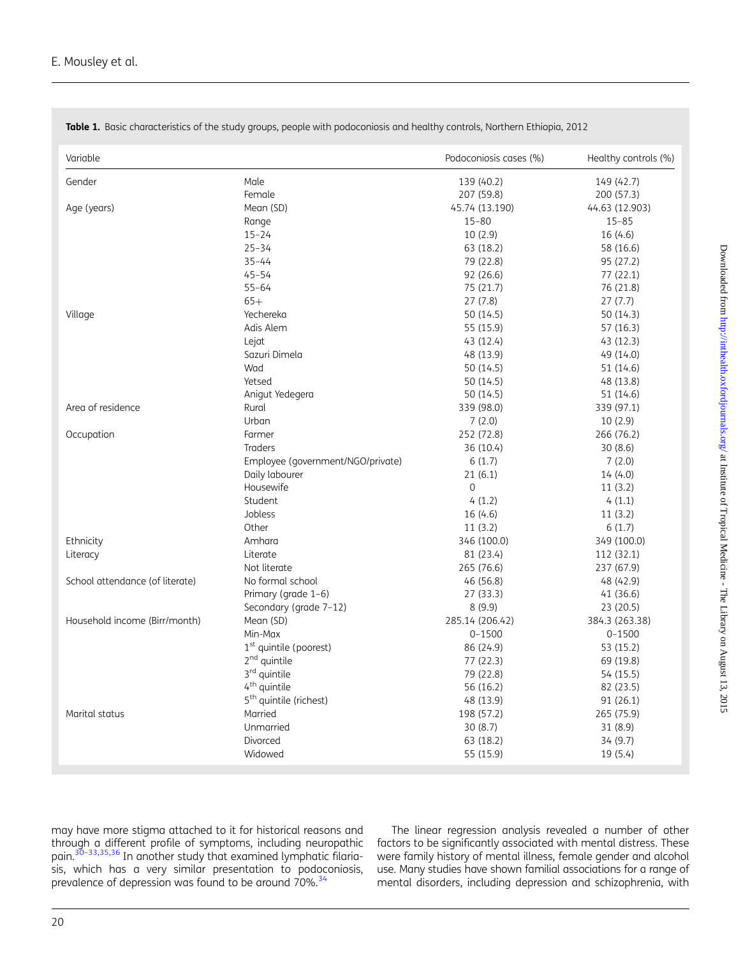| Variable                        |                                    | Podoconiosis cases (%) | Healthy controls (%) |
|---------------------------------|------------------------------------|------------------------|----------------------|
| Gender                          | Male                               | 139 (40.2)             | 149 (42.7)           |
|                                 | Female                             | 207 (59.8)             | 200 (57.3)           |
| Age (years)                     | Mean (SD)                          | 45.74 (13.190)         | 44.63 (12.903)       |
|                                 | Range                              | $15 - 80$              | $15 - 85$            |
|                                 | $15 - 24$                          | 10(2.9)                | 16 (4.6)             |
|                                 | $25 - 34$                          | 63 (18.2)              | 58 (16.6)            |
|                                 | $35 - 44$                          | 79 (22.8)              | 95 (27.2)            |
|                                 | $45 - 54$                          | 92 (26.6)              | 77 (22.1)            |
|                                 | $55 - 64$                          | 75 (21.7)              | 76 (21.8)            |
|                                 | $65+$                              | 27(7.8)                | 27(7.7)              |
| Village                         | Yechereka                          | 50 (14.5)              | 50 (14.3)            |
|                                 | Adis Alem                          | 55 (15.9)              | 57 (16.3)            |
|                                 | Lejat                              | 43 (12.4)              | 43 (12.3)            |
|                                 | Sazuri Dimela                      | 48 (13.9)              | 49 (14.0)            |
|                                 | Wad                                | 50 (14.5)              | 51 (14.6)            |
|                                 | Yetsed                             | 50(14.5)               | 48 (13.8)            |
|                                 | Anigut Yedegera                    | 50(14.5)               | 51 (14.6)            |
| Area of residence               | Rural                              | 339 (98.0)             | 339 (97.1)           |
|                                 | Urban                              | 7(2.0)                 | 10(2.9)              |
| Occupation                      | Farmer                             | 252 (72.8)             | 266 (76.2)           |
|                                 | <b>Traders</b>                     | 36 (10.4)              | 30(8.6)              |
|                                 | Employee (government/NGO/private)  | 6(1.7)                 | 7(2.0)               |
|                                 | Daily labourer                     | 21(6.1)                | 14(4.0)              |
|                                 | Housewife                          | $\Omega$               | 11(3.2)              |
|                                 | Student                            | 4(1.2)                 | 4(1.1)               |
|                                 | Jobless                            | 16 (4.6)               | 11(3.2)              |
|                                 | Other                              | 11(3.2)                | 6(1.7)               |
| Ethnicity                       | Amhara                             | 346 (100.0)            | 349 (100.0)          |
| Literacy                        | Literate                           | 81 (23.4)              | 112 (32.1)           |
|                                 | Not literate                       | 265 (76.6)             | 237 (67.9)           |
| School attendance (of literate) | No formal school                   | 46 (56.8)              | 48 (42.9)            |
|                                 | Primary (grade 1-6)                | 27 (33.3)              | 41 (36.6)            |
|                                 | Secondary (grade 7-12)             | 8(9.9)                 | 23 (20.5)            |
| Household income (Birr/month)   | Mean (SD)                          | 285.14 (206.42)        | 384.3 (263.38)       |
|                                 | Min-Max                            | $0 - 1500$             | $0 - 1500$           |
|                                 | 1 <sup>st</sup> quintile (poorest) | 86 (24.9)              | 53 (15.2)            |
|                                 | $2nd$ quintile                     | 77 (22.3)              | 69 (19.8)            |
|                                 | 3rd quintile                       | 79 (22.8)              | 54 (15.5)            |
|                                 | 4 <sup>th</sup> quintile           | 56 (16.2)              | 82 (23.5)            |
|                                 | 5 <sup>th</sup> quintile (richest) | 48 (13.9)              | 91 (26.1)            |
| Marital status                  | Married                            | 198 (57.2)             | 265 (75.9)           |
|                                 | Unmarried                          | 30(8.7)                | 31(8.9)              |
|                                 | Divorced                           | 63 (18.2)              | 34 (9.7)             |
|                                 | Widowed                            | 55 (15.9)              | 19 (5.4)             |
|                                 |                                    |                        |                      |

<span id="page-4-0"></span>Table 1. Basic characteristics of the study groups, people with podoconiosis and healthy controls, Northern Ethiopia, 2012

may have more stigma attached to it for historical reasons and through a different profile of symptoms, including neuropathic pain.[30–33,](#page-8-0)[35](#page-9-0),[36](#page-9-0) In another study that examined lymphatic filariasis, which has a very similar presentation to podoconiosis, prevalence of depression was found to be around 70%.<sup>[34](#page-9-0)</sup>

The linear regression analysis revealed a number of other factors to be significantly associated with mental distress. These were family history of mental illness, female gender and alcohol use. Many studies have shown familial associations for a range of mental disorders, including depression and schizophrenia, with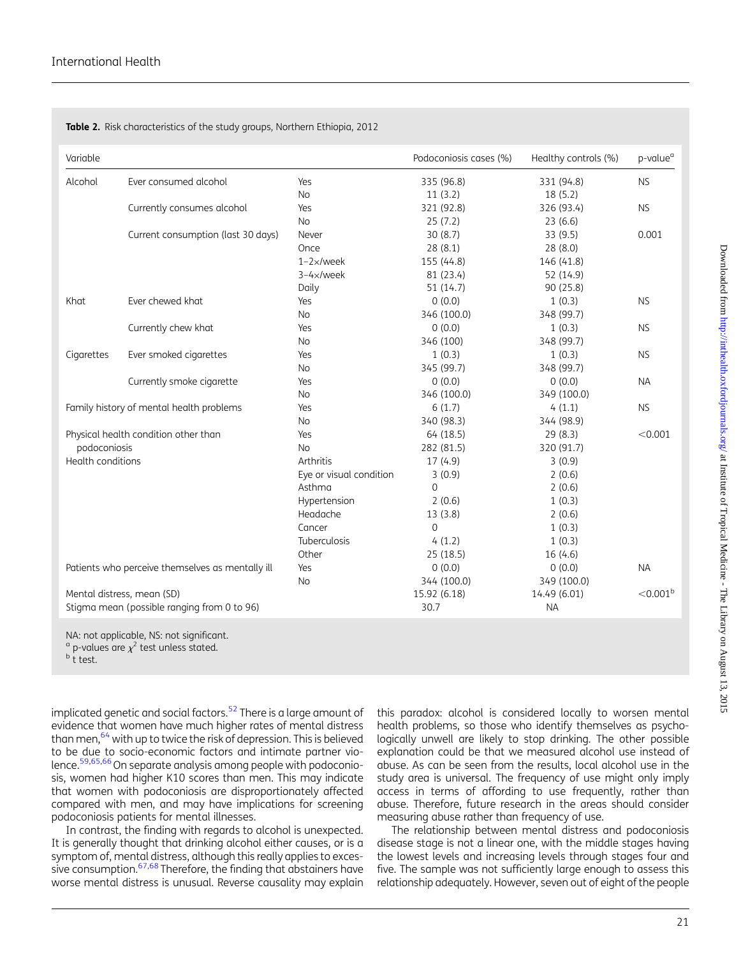| Variable                                         |                                             |                         | Podoconiosis cases (%) | Healthy controls (%) | p-value <sup>a</sup> |
|--------------------------------------------------|---------------------------------------------|-------------------------|------------------------|----------------------|----------------------|
|                                                  |                                             |                         |                        |                      |                      |
| Alcohol                                          | Ever consumed alcohol                       | Yes                     | 335 (96.8)             | 331 (94.8)           | <b>NS</b>            |
|                                                  |                                             | <b>No</b>               | 11(3.2)                | 18(5.2)              |                      |
|                                                  | Currently consumes alcohol                  | Yes                     | 321 (92.8)             | 326 (93.4)           | <b>NS</b>            |
|                                                  |                                             | <b>No</b>               | 25(7.2)                | 23(6.6)              |                      |
|                                                  | Current consumption (last 30 days)          | Never                   | 30(8.7)                | 33 (9.5)             | 0.001                |
|                                                  |                                             | Once                    | 28(8.1)                | 28(8.0)              |                      |
|                                                  |                                             | $1-2\times$ /week       | 155 (44.8)             | 146 (41.8)           |                      |
|                                                  |                                             | $3-4 \times$ /week      | 81 (23.4)              | 52 (14.9)            |                      |
|                                                  |                                             | Daily                   | 51(14.7)               | 90 (25.8)            |                      |
| Khat                                             | Ever chewed khat                            | Yes                     | 0(0.0)                 | 1(0.3)               | <b>NS</b>            |
|                                                  |                                             | <b>No</b>               | 346 (100.0)            | 348 (99.7)           |                      |
|                                                  | Currently chew khat                         | Yes                     | 0(0.0)                 | 1(0.3)               | <b>NS</b>            |
|                                                  |                                             | <b>No</b>               | 346 (100)              | 348 (99.7)           |                      |
| Cigarettes                                       | Ever smoked cigarettes                      | Yes                     | 1(0.3)                 | 1(0.3)               | <b>NS</b>            |
|                                                  |                                             | <b>No</b>               | 345 (99.7)             | 348 (99.7)           |                      |
|                                                  | Currently smoke cigarette                   | Yes                     | 0(0.0)                 | 0(0.0)               | <b>NA</b>            |
|                                                  |                                             | <b>No</b>               | 346 (100.0)            | 349 (100.0)          |                      |
|                                                  | Family history of mental health problems    | Yes                     | 6(1.7)                 | 4(1.1)               | <b>NS</b>            |
|                                                  |                                             | <b>No</b>               | 340 (98.3)             | 344 (98.9)           |                      |
|                                                  | Physical health condition other than        | Yes                     | 64 (18.5)              | 29 (8.3)             | < 0.001              |
| podoconiosis                                     |                                             | <b>No</b>               | 282 (81.5)             | 320 (91.7)           |                      |
| Health conditions                                |                                             | <b>Arthritis</b>        | 17 (4.9)               | 3(0.9)               |                      |
|                                                  |                                             | Eye or visual condition | 3(0.9)                 | 2(0.6)               |                      |
|                                                  |                                             | Asthma                  | $\Omega$               | 2(0.6)               |                      |
|                                                  |                                             | Hypertension            | 2(0.6)                 | 1(0.3)               |                      |
|                                                  |                                             | Headache                | 13(3.8)                | 2(0.6)               |                      |
|                                                  |                                             | Cancer                  | $\mathbf{0}$           | 1(0.3)               |                      |
|                                                  |                                             | Tuberculosis            | 4(1.2)                 | 1(0.3)               |                      |
|                                                  |                                             | Other                   | 25(18.5)               | 16(4.6)              |                      |
| Patients who perceive themselves as mentally ill |                                             | Yes                     | 0(0.0)                 | 0(0.0)               | <b>NA</b>            |
|                                                  |                                             | <b>No</b>               | 344 (100.0)            | 349 (100.0)          |                      |
|                                                  | Mental distress, mean (SD)                  |                         | 15.92 (6.18)           | 14.49 (6.01)         | $<$ 0.001 $^{\rm b}$ |
|                                                  | Stigma mean (possible ranging from 0 to 96) |                         | 30.7                   | <b>NA</b>            |                      |

<span id="page-5-0"></span>Table 2. Risk characteristics of the study groups, Northern Ethiopia, 2012

NA: not applicable, NS: not significant.

 $\sigma$  p-values are  $\chi^2$  test unless stated.<br>
<sup>b</sup> t test.

implicated genetic and social factors.<sup>[52](#page-9-0)</sup> There is a large amount of evidence that women have much higher rates of mental distress than men,  $64$  with up to twice the risk of depression. This is believed to be due to socio-economic factors and intimate partner vio-lence.<sup>[59,65,66](#page-9-0)</sup> On separate analysis among people with podoconiosis, women had higher K10 scores than men. This may indicate that women with podoconiosis are disproportionately affected compared with men, and may have implications for screening podoconiosis patients for mental illnesses.

In contrast, the finding with regards to alcohol is unexpected. It is generally thought that drinking alcohol either causes, or is a symptom of, mental distress, although this really applies to excessive consumption.<sup>67,68</sup> Therefore, the finding that abstainers have worse mental distress is unusual. Reverse causality may explain

this paradox: alcohol is considered locally to worsen mental health problems, so those who identify themselves as psychologically unwell are likely to stop drinking. The other possible explanation could be that we measured alcohol use instead of abuse. As can be seen from the results, local alcohol use in the study area is universal. The frequency of use might only imply access in terms of affording to use frequently, rather than abuse. Therefore, future research in the areas should consider measuring abuse rather than frequency of use.

The relationship between mental distress and podoconiosis disease stage is not a linear one, with the middle stages having the lowest levels and increasing levels through stages four and five. The sample was not sufficiently large enough to assess this relationship adequately. However, seven out of eight of the people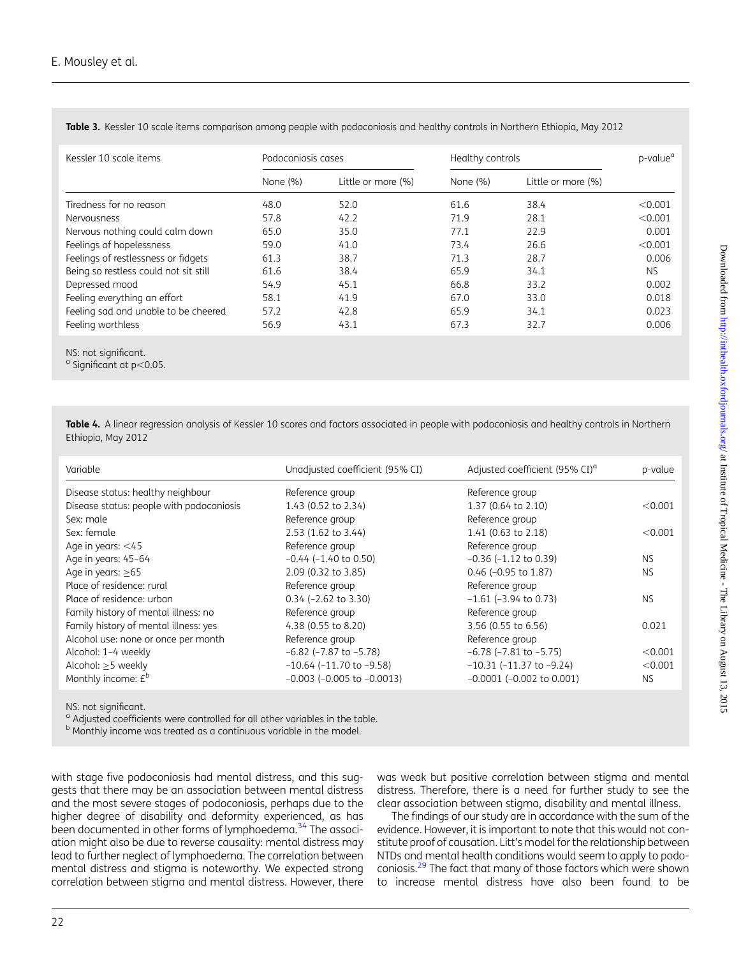| Kessler 10 scale items                | Podoconiosis cases |                    | Healthy controls |                    | p-value <sup>a</sup> |
|---------------------------------------|--------------------|--------------------|------------------|--------------------|----------------------|
|                                       | None $(\%)$        | Little or more (%) | None $(% )$      | Little or more (%) |                      |
| Tiredness for no reason               | 48.0               | 52.0               | 61.6             | 38.4               | < 0.001              |
| <b>Nervousness</b>                    | 57.8               | 42.2               | 71.9             | 28.1               | < 0.001              |
| Nervous nothing could calm down       | 65.0               | 35.0               | 77.1             | 22.9               | 0.001                |
| Feelings of hopelessness              | 59.0               | 41.0               | 73.4             | 26.6               | < 0.001              |
| Feelings of restlessness or fidgets   | 61.3               | 38.7               | 71.3             | 28.7               | 0.006                |
| Being so restless could not sit still | 61.6               | 38.4               | 65.9             | 34.1               | <b>NS</b>            |
| Depressed mood                        | 54.9               | 45.1               | 66.8             | 33.2               | 0.002                |
| Feeling everything an effort          | 58.1               | 41.9               | 67.0             | 33.0               | 0.018                |
| Feeling sad and unable to be cheered  | 57.2               | 42.8               | 65.9             | 34.1               | 0.023                |
| Feeling worthless                     | 56.9               | 43.1               | 67.3             | 32.7               | 0.006                |

<span id="page-6-0"></span>Table 3. Kessler 10 scale items comparison among people with podoconiosis and healthy controls in Northern Ethiopia, May 2012

NS: not significant.

 $\degree$  Significant at p $<$ 0.05.

Table 4. A linear regression analysis of Kessler 10 scores and factors associated in people with podoconiosis and healthy controls in Northern Ethiopia, May 2012

| Variable                                 | Unadjusted coefficient (95% CI)    | Adjusted coefficient (95% CI) <sup>a</sup> | p-value   |
|------------------------------------------|------------------------------------|--------------------------------------------|-----------|
| Disease status: healthy neighbour        | Reference group                    | Reference group                            |           |
| Disease status: people with podoconiosis | 1.43 (0.52 to 2.34)                | 1.37 (0.64 to 2.10)                        | < 0.001   |
| Sex: male                                | Reference group                    | Reference group                            |           |
| Sex: female                              | 2.53 (1.62 to 3.44)                | 1.41 (0.63 to 2.18)                        | < 0.001   |
| Age in years: <45                        | Reference group                    | Reference group                            |           |
| Age in years: 45-64                      | $-0.44$ ( $-1.40$ to 0.50)         | $-0.36$ ( $-1.12$ to 0.39)                 | NS.       |
| Age in years: $\geq 65$                  | 2.09 (0.32 to 3.85)                | $0.46$ (-0.95 to 1.87)                     | <b>NS</b> |
| Place of residence: rural                | Reference group                    | Reference group                            |           |
| Place of residence: urban                | $0.34$ (-2.62 to 3.30)             | $-1.61$ ( $-3.94$ to 0.73)                 | <b>NS</b> |
| Family history of mental illness: no     | Reference group                    | Reference group                            |           |
| Family history of mental illness: yes    | 4.38 (0.55 to 8.20)                | 3.56 (0.55 to 6.56)                        | 0.021     |
| Alcohol use: none or once per month      | Reference group                    | Reference group                            |           |
| Alcohol: 1-4 weekly                      | $-6.82$ ( $-7.87$ to $-5.78$ )     | $-6.78$ ( $-7.81$ to $-5.75$ )             | < 0.001   |
| Alcohol: $\geq$ 5 weekly                 | $-10.64$ ( $-11.70$ to $-9.58$ )   | $-10.31$ ( $-11.37$ to $-9.24$ )           | < 0.001   |
| Monthly income: £ <sup>b</sup>           | $-0.003$ ( $-0.005$ to $-0.0013$ ) | $-0.0001$ ( $-0.002$ to 0.001)             | NS.       |

NS: not significant.

<sup>a</sup> Adjusted coefficients were controlled for all other variables in the table.

b Monthly income was treated as a continuous variable in the model.

with stage five podoconiosis had mental distress, and this suggests that there may be an association between mental distress and the most severe stages of podoconiosis, perhaps due to the higher degree of disability and deformity experienced, as has been documented in other forms of lymphoedema.<sup>[34](#page-9-0)</sup> The association might also be due to reverse causality: mental distress may lead to further neglect of lymphoedema. The correlation between mental distress and stigma is noteworthy. We expected strong correlation between stigma and mental distress. However, there was weak but positive correlation between stigma and mental distress. Therefore, there is a need for further study to see the clear association between stigma, disability and mental illness.

The findings of our study are in accordance with the sum of the evidence. However, it is important to note that this would not constitute proof of causation. Litt's model for the relationship between NTDs and mental health conditions would seem to apply to podo-coniosis.<sup>[29](#page-8-0)</sup> The fact that many of those factors which were shown to increase mental distress have also been found to be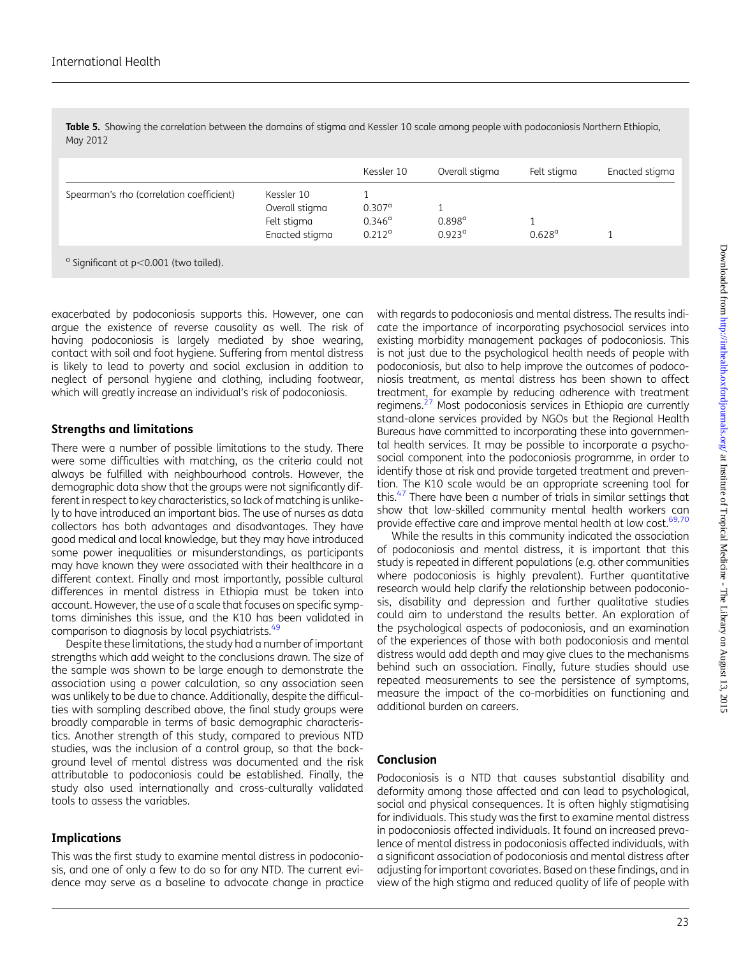<span id="page-7-0"></span>Table 5. Showing the correlation between the domains of stigma and Kessler 10 scale among people with podoconiosis Northern Ethiopia, May 2012

|                                                |                                                               | Kessler 10                                            | Overall stigma                     | Felt stigma | Enacted stigma |
|------------------------------------------------|---------------------------------------------------------------|-------------------------------------------------------|------------------------------------|-------------|----------------|
| Spearman's rho (correlation coefficient)       | Kessler 10<br>Overall stigma<br>Felt stigma<br>Enacted stigma | $0.307^{\circ}$<br>$0.346^{\circ}$<br>$0.212^{\circ}$ | $0.898^{\circ}$<br>$0.923^{\circ}$ | $0.628^{o}$ |                |
| $\degree$ Significant at p<0.001 (two tailed). |                                                               |                                                       |                                    |             |                |

exacerbated by podoconiosis supports this. However, one can argue the existence of reverse causality as well. The risk of having podoconiosis is largely mediated by shoe wearing, contact with soil and foot hygiene. Suffering from mental distress is likely to lead to poverty and social exclusion in addition to neglect of personal hygiene and clothing, including footwear, which will greatly increase an individual's risk of podoconiosis.

#### Strengths and limitations

There were a number of possible limitations to the study. There were some difficulties with matching, as the criteria could not always be fulfilled with neighbourhood controls. However, the demographic data show that the groups were not significantly different in respect to key characteristics, so lack of matching is unlikely to have introduced an important bias. The use of nurses as data collectors has both advantages and disadvantages. They have good medical and local knowledge, but they may have introduced some power inequalities or misunderstandings, as participants may have known they were associated with their healthcare in a different context. Finally and most importantly, possible cultural differences in mental distress in Ethiopia must be taken into account. However, the use of a scale that focuses on specific symptoms diminishes this issue, and the K10 has been validated in comparison to diagnosis by local psychiatrists.<sup>49</sup>

Despite these limitations, the study had a number of important strengths which add weight to the conclusions drawn. The size of the sample was shown to be large enough to demonstrate the association using a power calculation, so any association seen was unlikely to be due to chance. Additionally, despite the difficulties with sampling described above, the final study groups were broadly comparable in terms of basic demographic characteristics. Another strength of this study, compared to previous NTD studies, was the inclusion of a control group, so that the background level of mental distress was documented and the risk attributable to podoconiosis could be established. Finally, the study also used internationally and cross-culturally validated tools to assess the variables.

## **Implications**

This was the first study to examine mental distress in podoconiosis, and one of only a few to do so for any NTD. The current evidence may serve as a baseline to advocate change in practice with regards to podoconiosis and mental distress. The results indicate the importance of incorporating psychosocial services into existing morbidity management packages of podoconiosis. This is not just due to the psychological health needs of people with podoconiosis, but also to help improve the outcomes of podoconiosis treatment, as mental distress has been shown to affect treatment, for example by reducing adherence with treatment regimens[.27](#page-8-0) Most podoconiosis services in Ethiopia are currently stand-alone services provided by NGOs but the Regional Health Bureaus have committed to incorporating these into governmental health services. It may be possible to incorporate a psychosocial component into the podoconiosis programme, in order to identify those at risk and provide targeted treatment and prevention. The K10 scale would be an appropriate screening tool for this.<sup>47</sup> There have been a number of trials in similar settings that show that low-skilled community mental health workers can provide effective care and improve mental health at low cost.<sup>[69,70](#page-9-0)</sup>

While the results in this community indicated the association of podoconiosis and mental distress, it is important that this study is repeated in different populations (e.g. other communities where podoconiosis is highly prevalent). Further quantitative research would help clarify the relationship between podoconiosis, disability and depression and further qualitative studies could aim to understand the results better. An exploration of the psychological aspects of podoconiosis, and an examination of the experiences of those with both podoconiosis and mental distress would add depth and may give clues to the mechanisms behind such an association. Finally, future studies should use repeated measurements to see the persistence of symptoms, measure the impact of the co-morbidities on functioning and additional burden on careers.

## Conclusion

Podoconiosis is a NTD that causes substantial disability and deformity among those affected and can lead to psychological, social and physical consequences. It is often highly stigmatising for individuals. This study was the first to examine mental distress in podoconiosis affected individuals. It found an increased prevalence of mental distress in podoconiosis affected individuals, with a significant association of podoconiosis and mental distress after adjusting for important covariates. Based on these findings, and in view of the high stigma and reduced quality of life of people with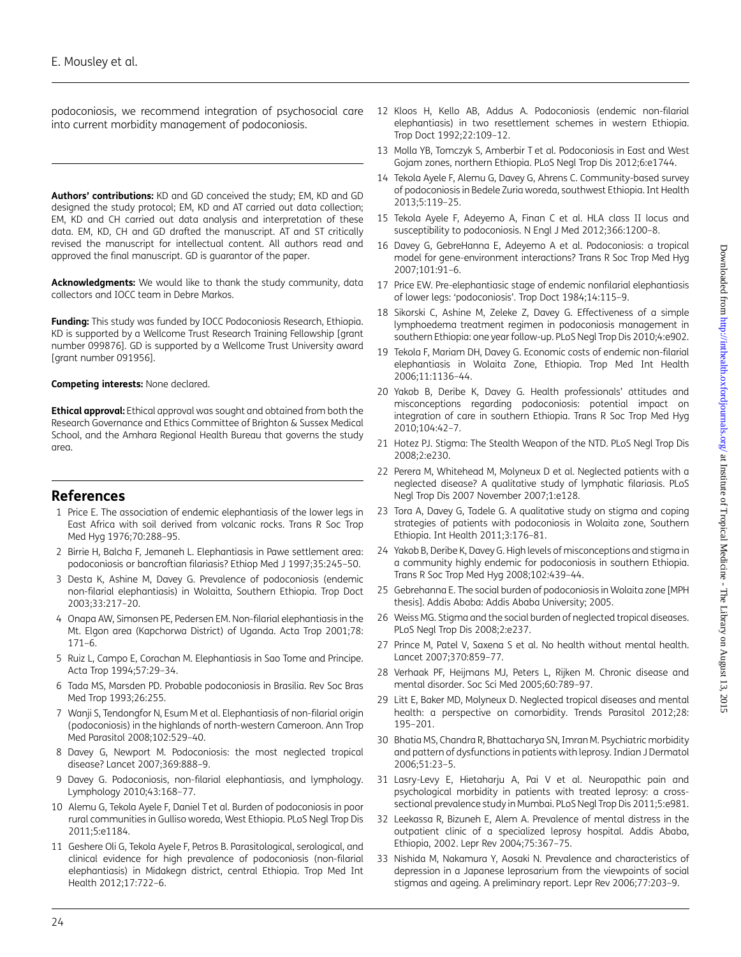<span id="page-8-0"></span>podoconiosis, we recommend integration of psychosocial care into current morbidity management of podoconiosis.

Authors' contributions: KD and GD conceived the study: EM, KD and GD designed the study protocol; EM, KD and AT carried out data collection; EM, KD and CH carried out data analysis and interpretation of these data. EM, KD, CH and GD drafted the manuscript. AT and ST critically revised the manuscript for intellectual content. All authors read and approved the final manuscript. GD is guarantor of the paper.

Acknowledgments: We would like to thank the study community, data collectors and IOCC team in Debre Markos.

Funding: This study was funded by IOCC Podoconiosis Research, Ethiopia. KD is supported by a Wellcome Trust Research Training Fellowship [grant number 099876]. GD is supported by a Wellcome Trust University award [grant number 091956].

Competing interests: None declared.

Ethical approval: Ethical approval was sought and obtained from both the Research Governance and Ethics Committee of Brighton & Sussex Medical School, and the Amhara Regional Health Bureau that governs the study area.

## References

- 1 Price E. The association of endemic elephantiasis of the lower legs in East Africa with soil derived from volcanic rocks. Trans R Soc Trop Med Hyg 1976;70:288–95.
- 2 Birrie H, Balcha F, Jemaneh L. Elephantiasis in Pawe settlement area: podoconiosis or bancroftian filariasis? Ethiop Med J 1997;35:245–50.
- 3 Desta K, Ashine M, Davey G. Prevalence of podoconiosis (endemic non-filarial elephantiasis) in Wolaitta, Southern Ethiopia. Trop Doct 2003;33:217–20.
- 4 Onapa AW, Simonsen PE, Pedersen EM. Non-filarial elephantiasis in the Mt. Elgon area (Kapchorwa District) of Uganda. Acta Trop 2001;78: 171–6.
- 5 Ruiz L, Campo E, Corachan M. Elephantiasis in Sao Tome and Principe. Acta Trop 1994;57:29–34.
- 6 Tada MS, Marsden PD. Probable podoconiosis in Brasilia. Rev Soc Bras Med Trop 1993;26:255.
- 7 Wanji S, Tendongfor N, Esum M et al. Elephantiasis of non-filarial origin (podoconiosis) in the highlands of north-western Cameroon. Ann Trop Med Parasitol 2008;102:529–40.
- 8 Davey G, Newport M. Podoconiosis: the most neglected tropical disease? Lancet 2007;369:888–9.
- 9 Davey G. Podoconiosis, non-filarial elephantiasis, and lymphology. Lymphology 2010;43:168–77.
- 10 Alemu G, Tekola Ayele F, Daniel T et al. Burden of podoconiosis in poor rural communities in Gulliso woreda, West Ethiopia. PLoS Negl Trop Dis 2011;5:e1184.
- 11 Geshere Oli G, Tekola Ayele F, Petros B. Parasitological, serological, and clinical evidence for high prevalence of podoconiosis (non-filarial elephantiasis) in Midakegn district, central Ethiopia. Trop Med Int Health 2012;17:722–6.
- 12 Kloos H, Kello AB, Addus A. Podoconiosis (endemic non-filarial elephantiasis) in two resettlement schemes in western Ethiopia. Trop Doct 1992;22:109–12.
- 13 Molla YB, Tomczyk S, Amberbir T et al. Podoconiosis in East and West Gojam zones, northern Ethiopia. PLoS Negl Trop Dis 2012;6:e1744.
- 14 Tekola Ayele F, Alemu G, Davey G, Ahrens C. Community-based survey of podoconiosis in Bedele Zuria woreda, southwest Ethiopia. Int Health 2013;5:119–25.
- 15 Tekola Ayele F, Adeyemo A, Finan C et al. HLA class II locus and susceptibility to podoconiosis. N Engl J Med 2012;366:1200–8.
- 16 Davey G, GebreHanna E, Adeyemo A et al. Podoconiosis: a tropical model for gene-environment interactions? Trans R Soc Trop Med Hyg 2007;101:91–6.
- 17 Price EW. Pre-elephantiasic stage of endemic nonfilarial elephantiasis of lower legs: 'podoconiosis'. Trop Doct 1984;14:115–9.
- 18 Sikorski C, Ashine M, Zeleke Z, Davey G. Effectiveness of a simple lymphoedema treatment regimen in podoconiosis management in southern Ethiopia: one year follow-up. PLoS Negl Trop Dis 2010;4:e902.
- 19 Tekola F, Mariam DH, Davey G. Economic costs of endemic non-filarial elephantiasis in Wolaita Zone, Ethiopia. Trop Med Int Health 2006;11:1136–44.
- 20 Yakob B, Deribe K, Davey G. Health professionals' attitudes and misconceptions regarding podoconiosis: potential impact on integration of care in southern Ethiopia. Trans R Soc Trop Med Hyg 2010;104:42–7.
- 21 Hotez PJ. Stigma: The Stealth Weapon of the NTD. PLoS Negl Trop Dis 2008;2:e230.
- 22 Perera M, Whitehead M, Molyneux D et al. Neglected patients with a neglected disease? A qualitative study of lymphatic filariasis. PLoS Negl Trop Dis 2007 November 2007;1:e128.
- 23 Tora A, Davey G, Tadele G. A qualitative study on stigma and coping strategies of patients with podoconiosis in Wolaita zone, Southern Ethiopia. Int Health 2011;3:176–81.
- 24 Yakob B, Deribe K, Davey G. High levels of misconceptions and stigma in a community highly endemic for podoconiosis in southern Ethiopia. Trans R Soc Trop Med Hyg 2008;102:439–44.
- 25 Gebrehanna E. The social burden of podoconiosis in Wolaita zone [MPH thesis]. Addis Ababa: Addis Ababa University; 2005.
- 26 Weiss MG. Stigma and the social burden of neglected tropical diseases. PLoS Negl Trop Dis 2008;2:e237.
- 27 Prince M, Patel V, Saxena S et al. No health without mental health. Lancet 2007;370:859–77.
- 28 Verhaak PF, Heijmans MJ, Peters L, Rijken M. Chronic disease and mental disorder. Soc Sci Med 2005;60:789–97.
- 29 Litt E, Baker MD, Molyneux D. Neglected tropical diseases and mental health: a perspective on comorbidity. Trends Parasitol 2012;28: 195–201.
- 30 Bhatia MS, Chandra R, Bhattacharya SN, Imran M. Psychiatric morbidity and pattern of dysfunctions in patients with leprosy. Indian J Dermatol 2006;51:23–5.
- 31 Lasry-Levy E, Hietaharju A, Pai V et al. Neuropathic pain and psychological morbidity in patients with treated leprosy: a crosssectional prevalence study in Mumbai. PLoS Negl Trop Dis 2011;5:e981.
- 32 Leekassa R, Bizuneh E, Alem A. Prevalence of mental distress in the outpatient clinic of a specialized leprosy hospital. Addis Ababa, Ethiopia, 2002. Lepr Rev 2004;75:367–75.
- 33 Nishida M, Nakamura Y, Aosaki N. Prevalence and characteristics of depression in a Japanese leprosarium from the viewpoints of social stigmas and ageing. A preliminary report. Lepr Rev 2006;77:203–9.